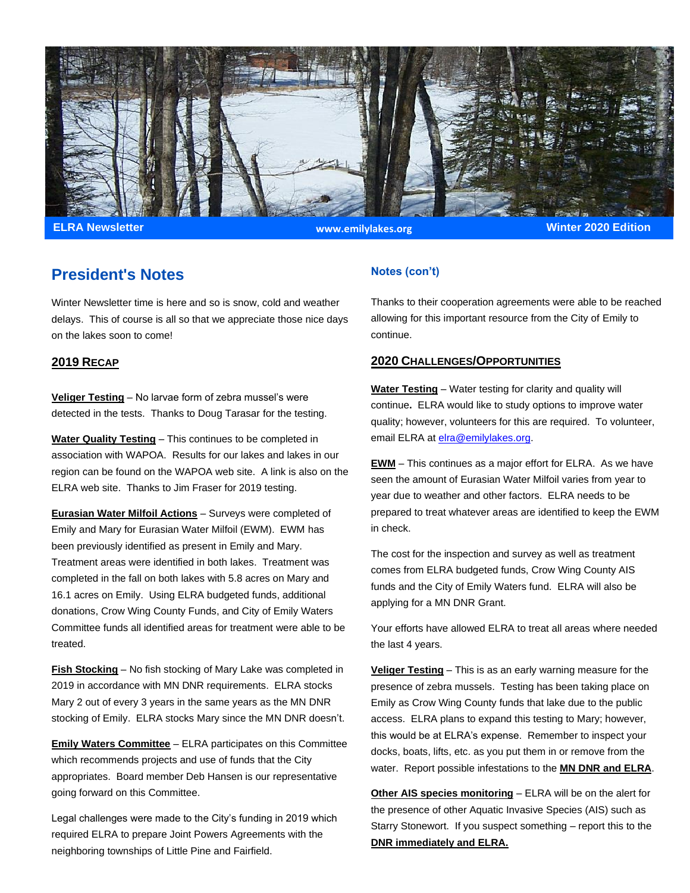

**ELRA Newsletter Winter 2020 Edition www.emilylakes.org**

### **President's Notes**

Winter Newsletter time is here and so is snow, cold and weather delays. This of course is all so that we appreciate those nice days on the lakes soon to come!

### **2019 RECAP**

**Veliger Testing** – No larvae form of zebra mussel's were detected in the tests. Thanks to Doug Tarasar for the testing.

**Water Quality Testing** – This continues to be completed in association with WAPOA. Results for our lakes and lakes in our region can be found on the WAPOA web site. A link is also on the ELRA web site. Thanks to Jim Fraser for 2019 testing.

**Eurasian Water Milfoil Actions** – Surveys were completed of Emily and Mary for Eurasian Water Milfoil (EWM). EWM has been previously identified as present in Emily and Mary. Treatment areas were identified in both lakes. Treatment was completed in the fall on both lakes with 5.8 acres on Mary and 16.1 acres on Emily. Using ELRA budgeted funds, additional donations, Crow Wing County Funds, and City of Emily Waters Committee funds all identified areas for treatment were able to be treated.

**Fish Stocking** – No fish stocking of Mary Lake was completed in 2019 in accordance with MN DNR requirements. ELRA stocks Mary 2 out of every 3 years in the same years as the MN DNR stocking of Emily. ELRA stocks Mary since the MN DNR doesn't.

**Emily Waters Committee** – ELRA participates on this Committee which recommends projects and use of funds that the City appropriates. Board member Deb Hansen is our representative going forward on this Committee.

Legal challenges were made to the City's funding in 2019 which required ELRA to prepare Joint Powers Agreements with the neighboring townships of Little Pine and Fairfield.

### **Notes (con't)**

Thanks to their cooperation agreements were able to be reached allowing for this important resource from the City of Emily to continue.

### **2020 CHALLENGES/OPPORTUNITIES**

**Water Testing** – Water testing for clarity and quality will continue**.** ELRA would like to study options to improve water quality; however, volunteers for this are required. To volunteer, email ELRA at [elra@emilylakes.org.](mailto:elra@emilylakes.org)

**EWM** – This continues as a major effort for ELRA. As we have seen the amount of Eurasian Water Milfoil varies from year to year due to weather and other factors. ELRA needs to be prepared to treat whatever areas are identified to keep the EWM in check.

The cost for the inspection and survey as well as treatment comes from ELRA budgeted funds, Crow Wing County AIS funds and the City of Emily Waters fund. ELRA will also be applying for a MN DNR Grant.

Your efforts have allowed ELRA to treat all areas where needed the last 4 years.

**Veliger Testing** – This is as an early warning measure for the presence of zebra mussels. Testing has been taking place on Emily as Crow Wing County funds that lake due to the public access. ELRA plans to expand this testing to Mary; however, this would be at ELRA's expense. Remember to inspect your docks, boats, lifts, etc. as you put them in or remove from the water. Report possible infestations to the **MN DNR and ELRA**.

**Other AIS species monitoring** – ELRA will be on the alert for the presence of other Aquatic Invasive Species (AIS) such as Starry Stonewort. If you suspect something – report this to the **DNR immediately and ELRA.**